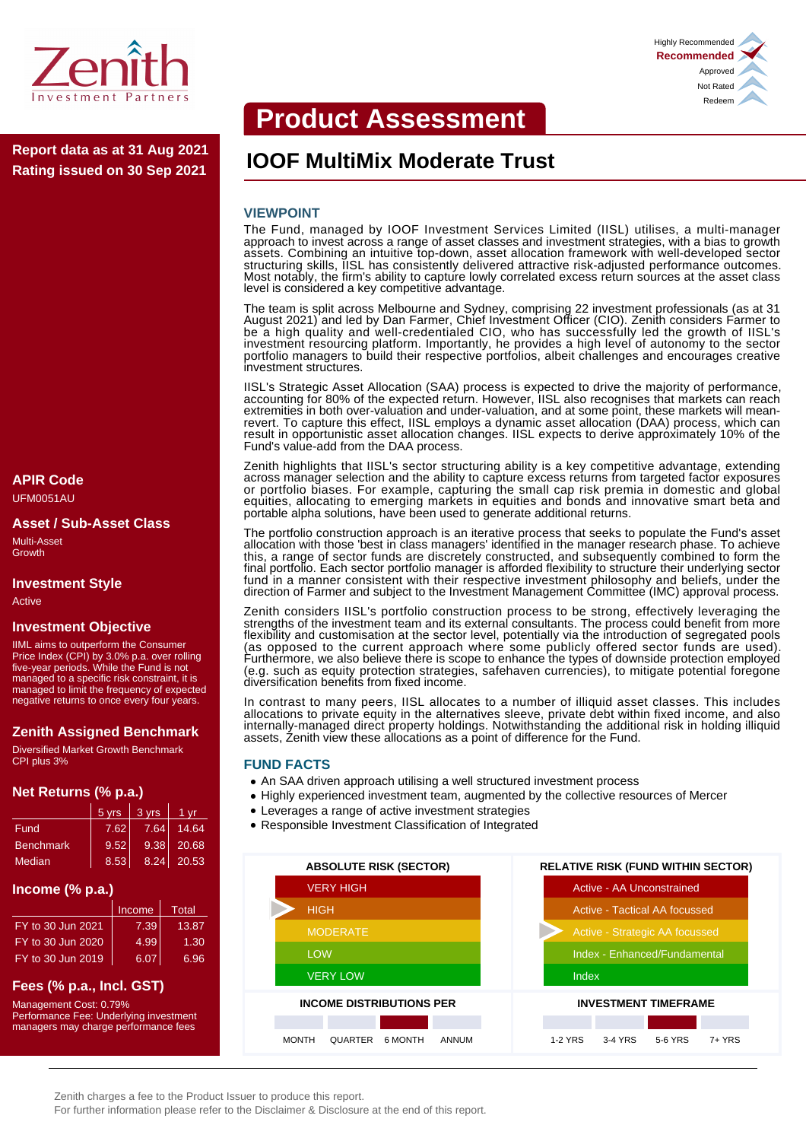

**Rating issued on 30 Sep 2021**

## **APIR Code**

UFM0051AU

**Asset / Sub-Asset Class** Multi-Asset

**Growth** 

#### **Investment Style**

Active

#### **Investment Objective**

IIML aims to outperform the Consumer Price Index (CPI) by 3.0% p.a. over rolling five-year periods. While the Fund is not managed to a specific risk constraint, it is managed to limit the frequency of expected negative returns to once every four years.

## **Zenith Assigned Benchmark**

Diversified Market Growth Benchmark CPI plus 3%

#### **Net Returns (% p.a.)**

|                  | 5 yrs | 3 yrs | 1 vr       |
|------------------|-------|-------|------------|
| <b>Fund</b>      | 7.62  | 7.64  | 14.64      |
| <b>Benchmark</b> | 9.52  | 9.38  | 20.68      |
| Median           | 8.53  |       | 8.24 20.53 |

#### **Income (% p.a.)**

|                   | Income | Total |
|-------------------|--------|-------|
| FY to 30 Jun 2021 | 7.39   | 13.87 |
| FY to 30 Jun 2020 | 4.99   | 1.30  |
| FY to 30 Jun 2019 | 6.07   | 6.96  |

## **Fees (% p.a., Incl. GST)**

Management Cost: 0.79% Performance Fee: Underlying investment managers may charge performance fees

# **Product Assessment**

# **IOOF MultiMix Moderate Trust Report data as at 31 Aug 2021**

#### **VIEWPOINT**

The Fund, managed by IOOF Investment Services Limited (IISL) utilises, a multi-manager approach to invest across a range of asset classes and investment strategies, with a bias to growth assets. Combining an intuitive top-down, asset allocation framework with well-developed sector structuring skills, IISL has consistently delivered attractive risk-adjusted performance outcomes. Most notably, the firm's ability to capture lowly correlated excess return sources at the asset class level is considered a key competitive advantage.

The team is split across Melbourne and Sydney, comprising 22 investment professionals (as at 31 August 2021) and led by Dan Farmer, Chief Investment Officer (CIO). Zenith considers Farmer to be a high quality and well-credentialed CIO, who has successfully led the growth of IISL's investment resourcing platform. Importantly, he provides a high level of autonomy to the sector portfolio managers to build their respective portfolios, albeit challenges and encourages creative investment structures.

IISL's Strategic Asset Allocation (SAA) process is expected to drive the majority of performance, accounting for 80% of the expected return. However, IISL also recognises that markets can reach extremities in both over-valuation and under-valuation, and at some point, these markets will meanrevert. To capture this effect, IISL employs a dynamic asset allocation (DAA) process, which can result in opportunistic asset allocation changes. IISL expects to derive approximately 10% of the Fund's value-add from the DAA process.

Zenith highlights that IISL's sector structuring ability is a key competitive advantage, extending across manager selection and the ability to capture excess returns from targeted factor exposures or portfolio biases. For example, capturing the small cap risk premia in domestic and global equities, allocating to emerging markets in equities and bonds and innovative smart beta and portable alpha solutions, have been used to generate additional returns.

The portfolio construction approach is an iterative process that seeks to populate the Fund's asset allocation with those 'best in class managers' identified in the manager research phase. To achieve this, a range of sector funds are discretely constructed, and subsequently combined to form the final portfolio. Each sector portfolio manager is afforded flexibility to structure their underlying sector fund in a manner consistent with their respective investment philosophy and beliefs, under the direction of Farmer and subject to the Investment Management Committee (IMC) approval process.

Zenith considers IISL's portfolio construction process to be strong, effectively leveraging the strengths of the investment team and its external consultants. The process could benefit from more flexibility and customisation at the sector level, potentially via the introduction of segregated pools (as opposed to the current approach where some publicly offered sector funds are used). Furthermore, we also believe there is scope to enhance the types of downside protection employed (e.g. such as equity protection strategies, safehaven currencies), to mitigate potential foregone diversification benefits from fixed income.

In contrast to many peers, IISL allocates to a number of illiquid asset classes. This includes allocations to private equity in the alternatives sleeve, private debt within fixed income, and also internally-managed direct property holdings. Notwithstanding the additional risk in holding illiquid assets, Zenith view these allocations as a point of difference for the Fund.

#### **FUND FACTS**

- An SAA driven approach utilising a well structured investment process
- Highly experienced investment team, augmented by the collective resources of Mercer
- Leverages a range of active investment strategies
- Responsible Investment Classification of Integrated





Zenith charges a fee to the Product Issuer to produce this report.

For further information please refer to the Disclaimer & Disclosure at the end of this report.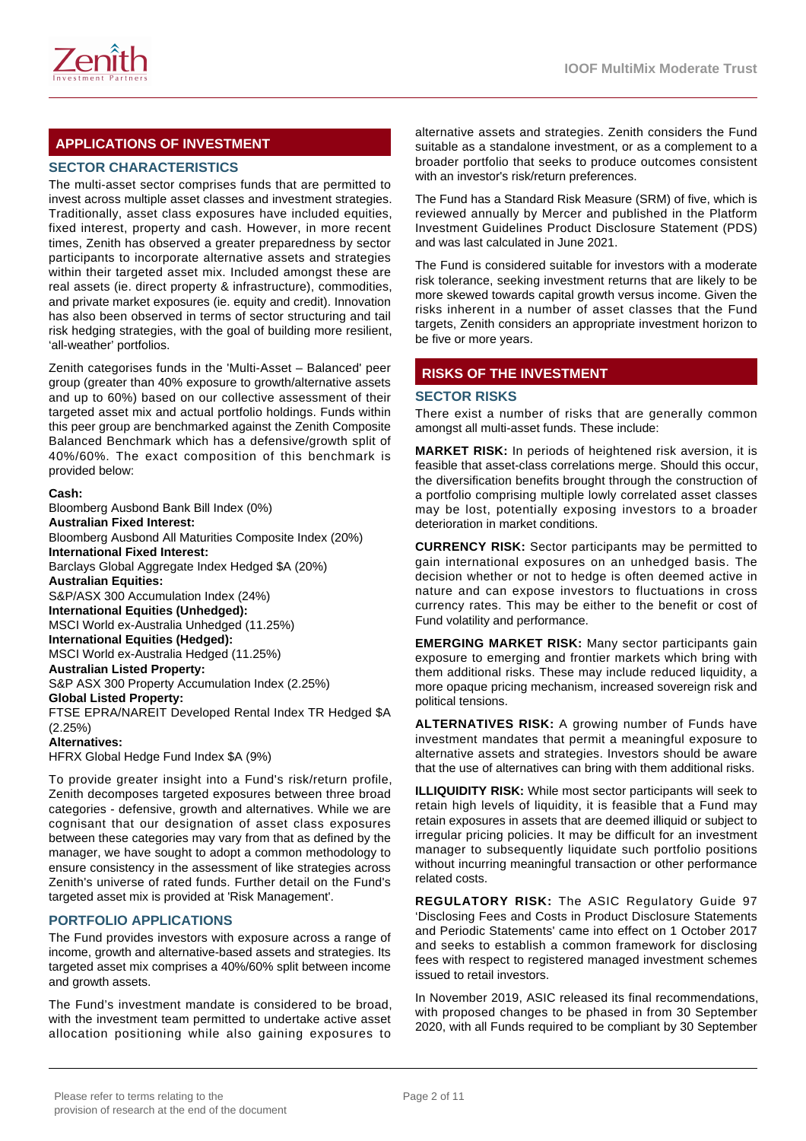

## **APPLICATIONS OF INVESTMENT**

## **SECTOR CHARACTERISTICS**

The multi-asset sector comprises funds that are permitted to invest across multiple asset classes and investment strategies. Traditionally, asset class exposures have included equities, fixed interest, property and cash. However, in more recent times, Zenith has observed a greater preparedness by sector participants to incorporate alternative assets and strategies within their targeted asset mix. Included amongst these are real assets (ie. direct property & infrastructure), commodities, and private market exposures (ie. equity and credit). Innovation has also been observed in terms of sector structuring and tail risk hedging strategies, with the goal of building more resilient, 'all-weather' portfolios.

Zenith categorises funds in the 'Multi-Asset – Balanced' peer group (greater than 40% exposure to growth/alternative assets and up to 60%) based on our collective assessment of their targeted asset mix and actual portfolio holdings. Funds within this peer group are benchmarked against the Zenith Composite Balanced Benchmark which has a defensive/growth split of 40%/60%. The exact composition of this benchmark is provided below:

#### **Cash:**

Bloomberg Ausbond Bank Bill Index (0%) **Australian Fixed Interest:** Bloomberg Ausbond All Maturities Composite Index (20%) **International Fixed Interest:** Barclays Global Aggregate Index Hedged \$A (20%) **Australian Equities:** S&P/ASX 300 Accumulation Index (24%) **International Equities (Unhedged):** MSCI World ex-Australia Unhedged (11.25%) **International Equities (Hedged):** MSCI World ex-Australia Hedged (11.25%) **Australian Listed Property:** S&P ASX 300 Property Accumulation Index (2.25%) **Global Listed Property:** FTSE EPRA/NAREIT Developed Rental Index TR Hedged \$A  $(2.25\%)$ **Alternatives:** HFRX Global Hedge Fund Index \$A (9%)

To provide greater insight into a Fund's risk/return profile, Zenith decomposes targeted exposures between three broad categories - defensive, growth and alternatives. While we are cognisant that our designation of asset class exposures between these categories may vary from that as defined by the manager, we have sought to adopt a common methodology to ensure consistency in the assessment of like strategies across Zenith's universe of rated funds. Further detail on the Fund's targeted asset mix is provided at 'Risk Management'.

## **PORTFOLIO APPLICATIONS**

The Fund provides investors with exposure across a range of income, growth and alternative-based assets and strategies. Its targeted asset mix comprises a 40%/60% split between income and growth assets.

The Fund's investment mandate is considered to be broad, with the investment team permitted to undertake active asset allocation positioning while also gaining exposures to

alternative assets and strategies. Zenith considers the Fund suitable as a standalone investment, or as a complement to a broader portfolio that seeks to produce outcomes consistent with an investor's risk/return preferences.

The Fund has a Standard Risk Measure (SRM) of five, which is reviewed annually by Mercer and published in the Platform Investment Guidelines Product Disclosure Statement (PDS) and was last calculated in June 2021.

The Fund is considered suitable for investors with a moderate risk tolerance, seeking investment returns that are likely to be more skewed towards capital growth versus income. Given the risks inherent in a number of asset classes that the Fund targets, Zenith considers an appropriate investment horizon to be five or more years.

## **RISKS OF THE INVESTMENT**

#### **SECTOR RISKS**

There exist a number of risks that are generally common amongst all multi-asset funds. These include:

**MARKET RISK:** In periods of heightened risk aversion, it is feasible that asset-class correlations merge. Should this occur, the diversification benefits brought through the construction of a portfolio comprising multiple lowly correlated asset classes may be lost, potentially exposing investors to a broader deterioration in market conditions.

**CURRENCY RISK:** Sector participants may be permitted to gain international exposures on an unhedged basis. The decision whether or not to hedge is often deemed active in nature and can expose investors to fluctuations in cross currency rates. This may be either to the benefit or cost of Fund volatility and performance.

**EMERGING MARKET RISK:** Many sector participants gain exposure to emerging and frontier markets which bring with them additional risks. These may include reduced liquidity, a more opaque pricing mechanism, increased sovereign risk and political tensions.

**ALTERNATIVES RISK:** A growing number of Funds have investment mandates that permit a meaningful exposure to alternative assets and strategies. Investors should be aware that the use of alternatives can bring with them additional risks.

**ILLIQUIDITY RISK:** While most sector participants will seek to retain high levels of liquidity, it is feasible that a Fund may retain exposures in assets that are deemed illiquid or subject to irregular pricing policies. It may be difficult for an investment manager to subsequently liquidate such portfolio positions without incurring meaningful transaction or other performance related costs.

**REGULATORY RISK:** The ASIC Regulatory Guide 97 'Disclosing Fees and Costs in Product Disclosure Statements and Periodic Statements' came into effect on 1 October 2017 and seeks to establish a common framework for disclosing fees with respect to registered managed investment schemes issued to retail investors.

In November 2019, ASIC released its final recommendations, with proposed changes to be phased in from 30 September 2020, with all Funds required to be compliant by 30 September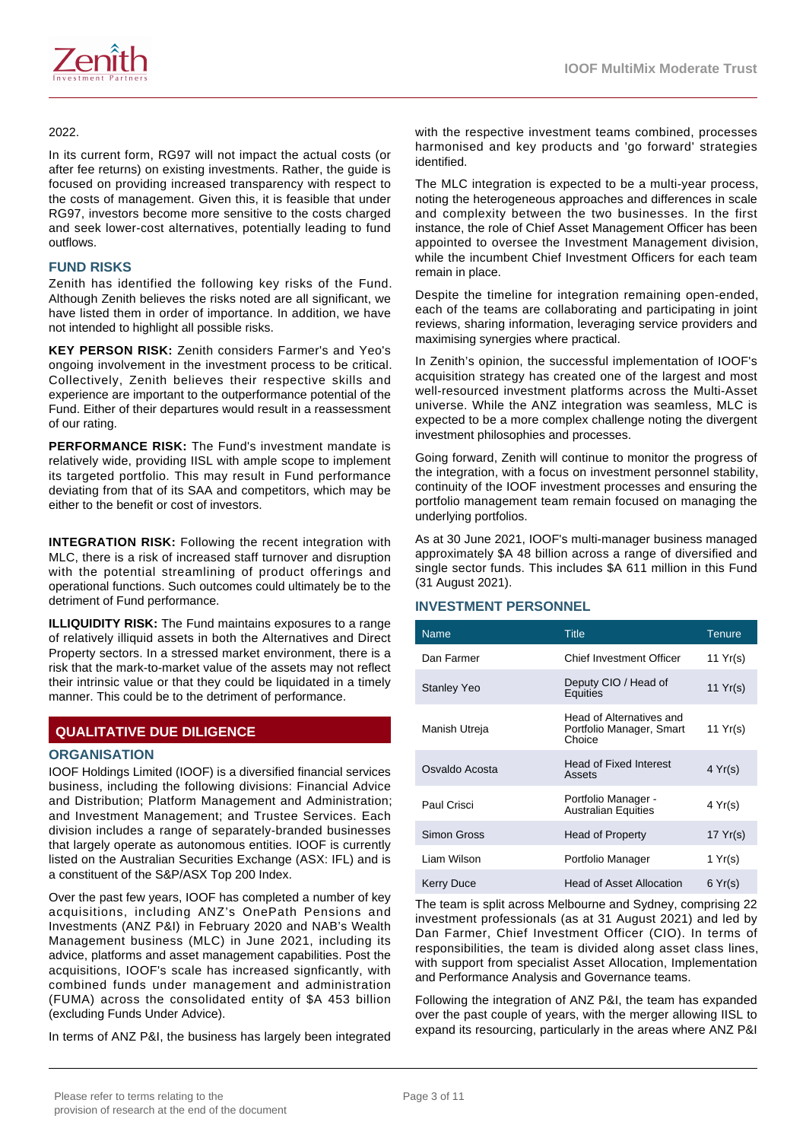

#### 2022.

In its current form, RG97 will not impact the actual costs (or after fee returns) on existing investments. Rather, the guide is focused on providing increased transparency with respect to the costs of management. Given this, it is feasible that under RG97, investors become more sensitive to the costs charged and seek lower-cost alternatives, potentially leading to fund outflows.

#### **FUND RISKS**

Zenith has identified the following key risks of the Fund. Although Zenith believes the risks noted are all significant, we have listed them in order of importance. In addition, we have not intended to highlight all possible risks.

**KEY PERSON RISK:** Zenith considers Farmer's and Yeo's ongoing involvement in the investment process to be critical. Collectively, Zenith believes their respective skills and experience are important to the outperformance potential of the Fund. Either of their departures would result in a reassessment of our rating.

**PERFORMANCE RISK:** The Fund's investment mandate is relatively wide, providing IISL with ample scope to implement its targeted portfolio. This may result in Fund performance deviating from that of its SAA and competitors, which may be either to the benefit or cost of investors.

**INTEGRATION RISK:** Following the recent integration with MLC, there is a risk of increased staff turnover and disruption with the potential streamlining of product offerings and operational functions. Such outcomes could ultimately be to the detriment of Fund performance.

**ILLIQUIDITY RISK:** The Fund maintains exposures to a range of relatively illiquid assets in both the Alternatives and Direct Property sectors. In a stressed market environment, there is a risk that the mark-to-market value of the assets may not reflect their intrinsic value or that they could be liquidated in a timely manner. This could be to the detriment of performance.

## **QUALITATIVE DUE DILIGENCE**

### **ORGANISATION**

IOOF Holdings Limited (IOOF) is a diversified financial services business, including the following divisions: Financial Advice and Distribution; Platform Management and Administration; and Investment Management; and Trustee Services. Each division includes a range of separately-branded businesses that largely operate as autonomous entities. IOOF is currently listed on the Australian Securities Exchange (ASX: IFL) and is a constituent of the S&P/ASX Top 200 Index.

Over the past few years, IOOF has completed a number of key acquisitions, including ANZ's OnePath Pensions and Investments (ANZ P&I) in February 2020 and NAB's Wealth Management business (MLC) in June 2021, including its advice, platforms and asset management capabilities. Post the acquisitions, IOOF's scale has increased signficantly, with combined funds under management and administration (FUMA) across the consolidated entity of \$A 453 billion (excluding Funds Under Advice).

In terms of ANZ P&I, the business has largely been integrated

with the respective investment teams combined, processes harmonised and key products and 'go forward' strategies identified.

The MLC integration is expected to be a multi-year process, noting the heterogeneous approaches and differences in scale and complexity between the two businesses. In the first instance, the role of Chief Asset Management Officer has been appointed to oversee the Investment Management division, while the incumbent Chief Investment Officers for each team remain in place.

Despite the timeline for integration remaining open-ended, each of the teams are collaborating and participating in joint reviews, sharing information, leveraging service providers and maximising synergies where practical.

In Zenith's opinion, the successful implementation of IOOF's acquisition strategy has created one of the largest and most well-resourced investment platforms across the Multi-Asset universe. While the ANZ integration was seamless, MLC is expected to be a more complex challenge noting the divergent investment philosophies and processes.

Going forward, Zenith will continue to monitor the progress of the integration, with a focus on investment personnel stability, continuity of the IOOF investment processes and ensuring the portfolio management team remain focused on managing the underlying portfolios.

As at 30 June 2021, IOOF's multi-manager business managed approximately \$A 48 billion across a range of diversified and single sector funds. This includes \$A 611 million in this Fund (31 August 2021).

## **INVESTMENT PERSONNEL**

| <b>Name</b>        | <b>Title</b>                                                   | Tenure            |
|--------------------|----------------------------------------------------------------|-------------------|
| Dan Farmer         | Chief Investment Officer                                       | 11 $Yr(s)$        |
| <b>Stanley Yeo</b> | Deputy CIO / Head of<br>Equities                               | 11 $Yr(s)$        |
| Manish Utreja      | Head of Alternatives and<br>Portfolio Manager, Smart<br>Choice | 11 Yr(s)          |
| Osvaldo Acosta     | <b>Head of Fixed Interest</b><br>Assets                        | $4 \text{Yr(s)}$  |
| Paul Crisci        | Portfolio Manager -<br><b>Australian Equities</b>              | 4 Yr(s)           |
| Simon Gross        | Head of Property                                               | $17 \text{Yr(s)}$ |
| Liam Wilson        | Portfolio Manager                                              | 1 $Yr(s)$         |
| Kerry Duce         | <b>Head of Asset Allocation</b>                                | 6 Yr(s)           |

The team is split across Melbourne and Sydney, comprising 22 investment professionals (as at 31 August 2021) and led by Dan Farmer, Chief Investment Officer (CIO). In terms of responsibilities, the team is divided along asset class lines, with support from specialist Asset Allocation, Implementation and Performance Analysis and Governance teams.

Following the integration of ANZ P&I, the team has expanded over the past couple of years, with the merger allowing IISL to expand its resourcing, particularly in the areas where ANZ P&I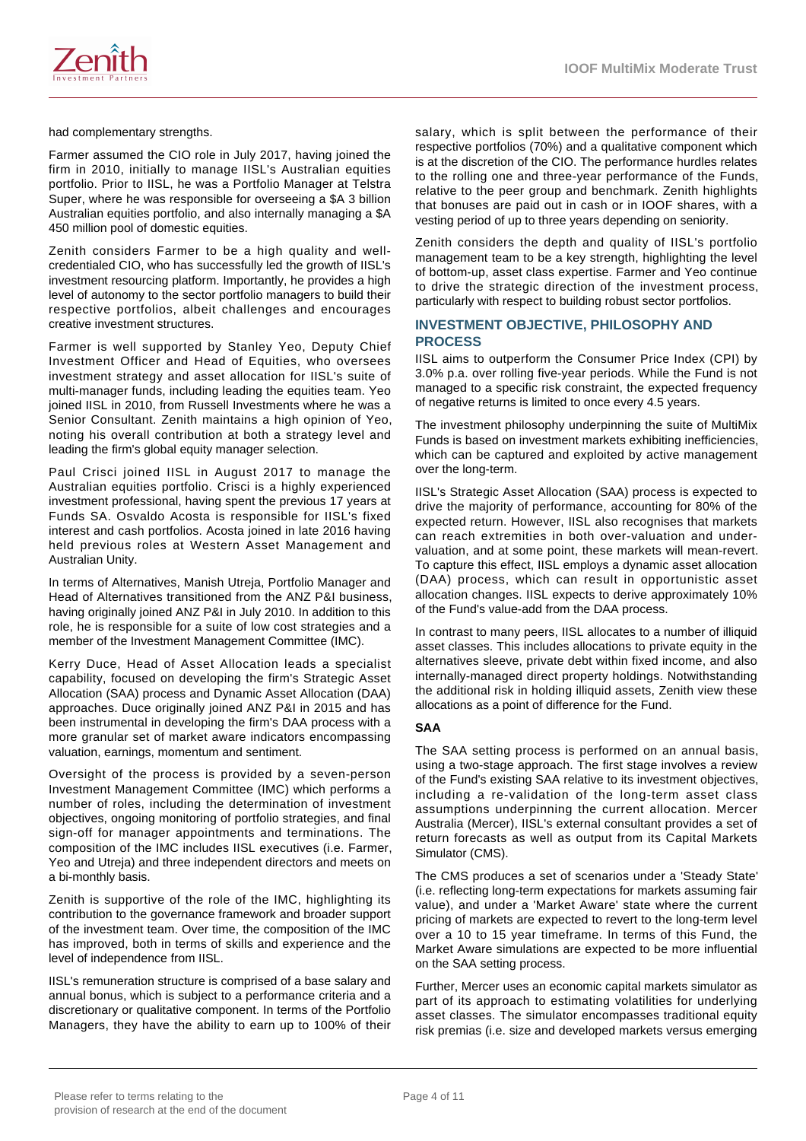

had complementary strengths.

Farmer assumed the CIO role in July 2017, having joined the firm in 2010, initially to manage IISL's Australian equities portfolio. Prior to IISL, he was a Portfolio Manager at Telstra Super, where he was responsible for overseeing a \$A 3 billion Australian equities portfolio, and also internally managing a \$A 450 million pool of domestic equities.

Zenith considers Farmer to be a high quality and wellcredentialed CIO, who has successfully led the growth of IISL's investment resourcing platform. Importantly, he provides a high level of autonomy to the sector portfolio managers to build their respective portfolios, albeit challenges and encourages creative investment structures.

Farmer is well supported by Stanley Yeo, Deputy Chief Investment Officer and Head of Equities, who oversees investment strategy and asset allocation for IISL's suite of multi-manager funds, including leading the equities team. Yeo joined IISL in 2010, from Russell Investments where he was a Senior Consultant. Zenith maintains a high opinion of Yeo, noting his overall contribution at both a strategy level and leading the firm's global equity manager selection.

Paul Crisci joined IISL in August 2017 to manage the Australian equities portfolio. Crisci is a highly experienced investment professional, having spent the previous 17 years at Funds SA. Osvaldo Acosta is responsible for IISL's fixed interest and cash portfolios. Acosta joined in late 2016 having held previous roles at Western Asset Management and Australian Unity.

In terms of Alternatives, Manish Utreja, Portfolio Manager and Head of Alternatives transitioned from the ANZ P&I business, having originally joined ANZ P&I in July 2010. In addition to this role, he is responsible for a suite of low cost strategies and a member of the Investment Management Committee (IMC).

Kerry Duce, Head of Asset Allocation leads a specialist capability, focused on developing the firm's Strategic Asset Allocation (SAA) process and Dynamic Asset Allocation (DAA) approaches. Duce originally joined ANZ P&I in 2015 and has been instrumental in developing the firm's DAA process with a more granular set of market aware indicators encompassing valuation, earnings, momentum and sentiment.

Oversight of the process is provided by a seven-person Investment Management Committee (IMC) which performs a number of roles, including the determination of investment objectives, ongoing monitoring of portfolio strategies, and final sign-off for manager appointments and terminations. The composition of the IMC includes IISL executives (i.e. Farmer, Yeo and Utreja) and three independent directors and meets on a bi-monthly basis.

Zenith is supportive of the role of the IMC, highlighting its contribution to the governance framework and broader support of the investment team. Over time, the composition of the IMC has improved, both in terms of skills and experience and the level of independence from IISL.

IISL's remuneration structure is comprised of a base salary and annual bonus, which is subject to a performance criteria and a discretionary or qualitative component. In terms of the Portfolio Managers, they have the ability to earn up to 100% of their salary, which is split between the performance of their respective portfolios (70%) and a qualitative component which is at the discretion of the CIO. The performance hurdles relates to the rolling one and three-year performance of the Funds, relative to the peer group and benchmark. Zenith highlights that bonuses are paid out in cash or in IOOF shares, with a vesting period of up to three years depending on seniority.

Zenith considers the depth and quality of IISL's portfolio management team to be a key strength, highlighting the level of bottom-up, asset class expertise. Farmer and Yeo continue to drive the strategic direction of the investment process, particularly with respect to building robust sector portfolios.

#### **INVESTMENT OBJECTIVE, PHILOSOPHY AND PROCESS**

IISL aims to outperform the Consumer Price Index (CPI) by 3.0% p.a. over rolling five-year periods. While the Fund is not managed to a specific risk constraint, the expected frequency of negative returns is limited to once every 4.5 years.

The investment philosophy underpinning the suite of MultiMix Funds is based on investment markets exhibiting inefficiencies, which can be captured and exploited by active management over the long-term.

IISL's Strategic Asset Allocation (SAA) process is expected to drive the majority of performance, accounting for 80% of the expected return. However, IISL also recognises that markets can reach extremities in both over-valuation and undervaluation, and at some point, these markets will mean-revert. To capture this effect, IISL employs a dynamic asset allocation (DAA) process, which can result in opportunistic asset allocation changes. IISL expects to derive approximately 10% of the Fund's value-add from the DAA process.

In contrast to many peers, IISL allocates to a number of illiquid asset classes. This includes allocations to private equity in the alternatives sleeve, private debt within fixed income, and also internally-managed direct property holdings. Notwithstanding the additional risk in holding illiquid assets, Zenith view these allocations as a point of difference for the Fund.

#### **SAA**

The SAA setting process is performed on an annual basis, using a two-stage approach. The first stage involves a review of the Fund's existing SAA relative to its investment objectives, including a re-validation of the long-term asset class assumptions underpinning the current allocation. Mercer Australia (Mercer), IISL's external consultant provides a set of return forecasts as well as output from its Capital Markets Simulator (CMS).

The CMS produces a set of scenarios under a 'Steady State' (i.e. reflecting long-term expectations for markets assuming fair value), and under a 'Market Aware' state where the current pricing of markets are expected to revert to the long-term level over a 10 to 15 year timeframe. In terms of this Fund, the Market Aware simulations are expected to be more influential on the SAA setting process.

Further, Mercer uses an economic capital markets simulator as part of its approach to estimating volatilities for underlying asset classes. The simulator encompasses traditional equity risk premias (i.e. size and developed markets versus emerging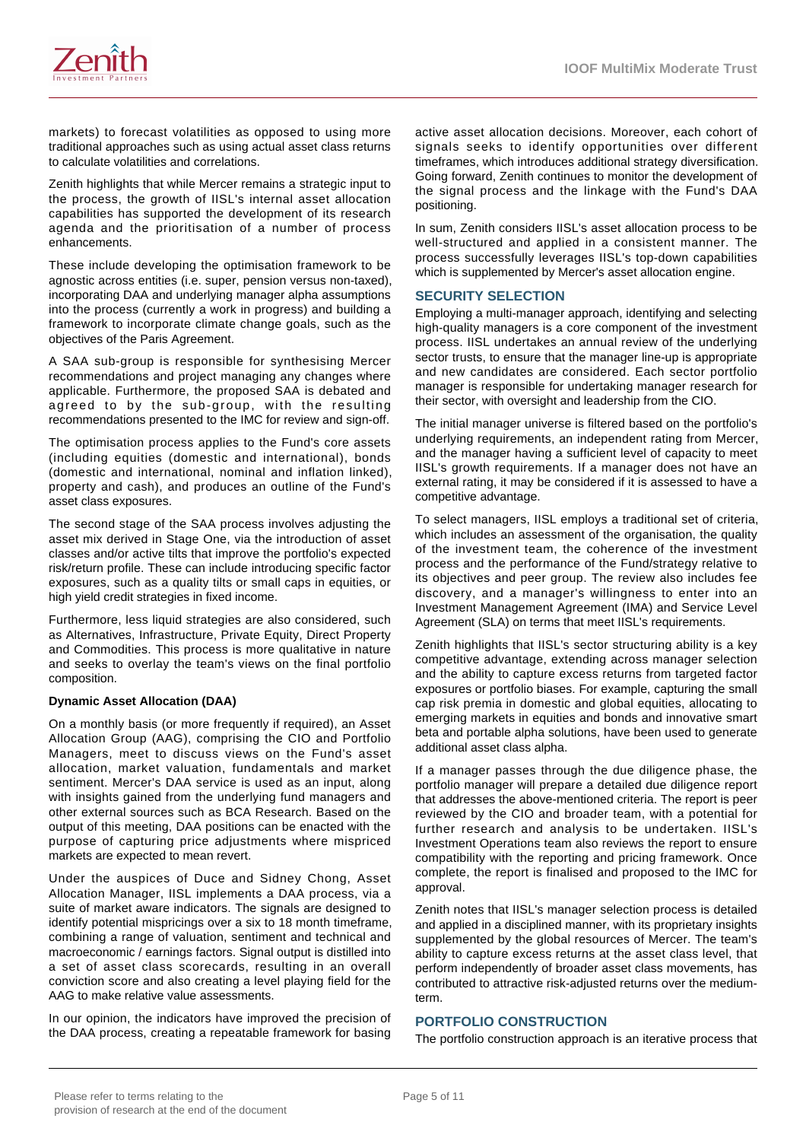

markets) to forecast volatilities as opposed to using more traditional approaches such as using actual asset class returns to calculate volatilities and correlations.

Zenith highlights that while Mercer remains a strategic input to the process, the growth of IISL's internal asset allocation capabilities has supported the development of its research agenda and the prioritisation of a number of process enhancements.

These include developing the optimisation framework to be agnostic across entities (i.e. super, pension versus non-taxed), incorporating DAA and underlying manager alpha assumptions into the process (currently a work in progress) and building a framework to incorporate climate change goals, such as the objectives of the Paris Agreement.

A SAA sub-group is responsible for synthesising Mercer recommendations and project managing any changes where applicable. Furthermore, the proposed SAA is debated and agreed to by the sub-group, with the resulting recommendations presented to the IMC for review and sign-off.

The optimisation process applies to the Fund's core assets (including equities (domestic and international), bonds (domestic and international, nominal and inflation linked), property and cash), and produces an outline of the Fund's asset class exposures.

The second stage of the SAA process involves adjusting the asset mix derived in Stage One, via the introduction of asset classes and/or active tilts that improve the portfolio's expected risk/return profile. These can include introducing specific factor exposures, such as a quality tilts or small caps in equities, or high yield credit strategies in fixed income.

Furthermore, less liquid strategies are also considered, such as Alternatives, Infrastructure, Private Equity, Direct Property and Commodities. This process is more qualitative in nature and seeks to overlay the team's views on the final portfolio composition.

#### **Dynamic Asset Allocation (DAA)**

On a monthly basis (or more frequently if required), an Asset Allocation Group (AAG), comprising the CIO and Portfolio Managers, meet to discuss views on the Fund's asset allocation, market valuation, fundamentals and market sentiment. Mercer's DAA service is used as an input, along with insights gained from the underlying fund managers and other external sources such as BCA Research. Based on the output of this meeting, DAA positions can be enacted with the purpose of capturing price adjustments where mispriced markets are expected to mean revert.

Under the auspices of Duce and Sidney Chong, Asset Allocation Manager, IISL implements a DAA process, via a suite of market aware indicators. The signals are designed to identify potential mispricings over a six to 18 month timeframe, combining a range of valuation, sentiment and technical and macroeconomic / earnings factors. Signal output is distilled into a set of asset class scorecards, resulting in an overall conviction score and also creating a level playing field for the AAG to make relative value assessments.

In our opinion, the indicators have improved the precision of the DAA process, creating a repeatable framework for basing active asset allocation decisions. Moreover, each cohort of signals seeks to identify opportunities over different timeframes, which introduces additional strategy diversification. Going forward, Zenith continues to monitor the development of the signal process and the linkage with the Fund's DAA positioning.

In sum, Zenith considers IISL's asset allocation process to be well-structured and applied in a consistent manner. The process successfully leverages IISL's top-down capabilities which is supplemented by Mercer's asset allocation engine.

#### **SECURITY SELECTION**

Employing a multi-manager approach, identifying and selecting high-quality managers is a core component of the investment process. IISL undertakes an annual review of the underlying sector trusts, to ensure that the manager line-up is appropriate and new candidates are considered. Each sector portfolio manager is responsible for undertaking manager research for their sector, with oversight and leadership from the CIO.

The initial manager universe is filtered based on the portfolio's underlying requirements, an independent rating from Mercer, and the manager having a sufficient level of capacity to meet IISL's growth requirements. If a manager does not have an external rating, it may be considered if it is assessed to have a competitive advantage.

To select managers, IISL employs a traditional set of criteria, which includes an assessment of the organisation, the quality of the investment team, the coherence of the investment process and the performance of the Fund/strategy relative to its objectives and peer group. The review also includes fee discovery, and a manager's willingness to enter into an Investment Management Agreement (IMA) and Service Level Agreement (SLA) on terms that meet IISL's requirements.

Zenith highlights that IISL's sector structuring ability is a key competitive advantage, extending across manager selection and the ability to capture excess returns from targeted factor exposures or portfolio biases. For example, capturing the small cap risk premia in domestic and global equities, allocating to emerging markets in equities and bonds and innovative smart beta and portable alpha solutions, have been used to generate additional asset class alpha.

If a manager passes through the due diligence phase, the portfolio manager will prepare a detailed due diligence report that addresses the above-mentioned criteria. The report is peer reviewed by the CIO and broader team, with a potential for further research and analysis to be undertaken. IISL's Investment Operations team also reviews the report to ensure compatibility with the reporting and pricing framework. Once complete, the report is finalised and proposed to the IMC for approval.

Zenith notes that IISL's manager selection process is detailed and applied in a disciplined manner, with its proprietary insights supplemented by the global resources of Mercer. The team's ability to capture excess returns at the asset class level, that perform independently of broader asset class movements, has contributed to attractive risk-adjusted returns over the mediumterm.

#### **PORTFOLIO CONSTRUCTION**

The portfolio construction approach is an iterative process that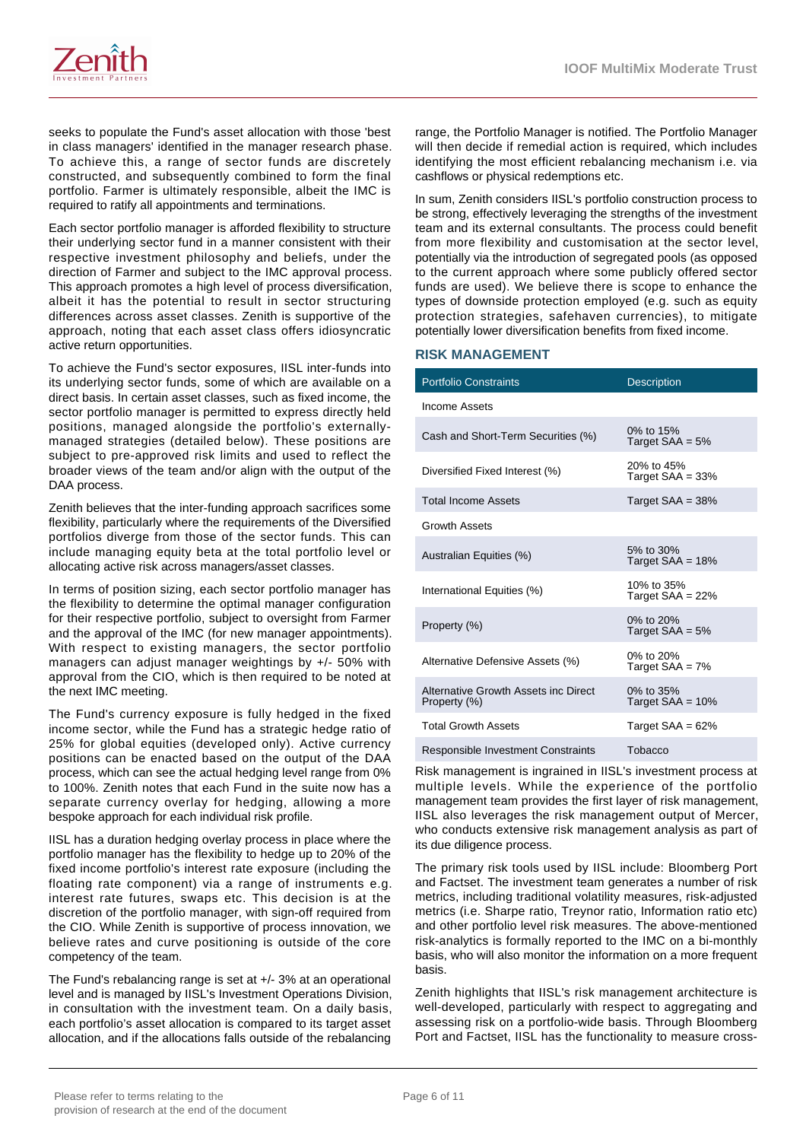

seeks to populate the Fund's asset allocation with those 'best in class managers' identified in the manager research phase. To achieve this, a range of sector funds are discretely constructed, and subsequently combined to form the final portfolio. Farmer is ultimately responsible, albeit the IMC is required to ratify all appointments and terminations.

Each sector portfolio manager is afforded flexibility to structure their underlying sector fund in a manner consistent with their respective investment philosophy and beliefs, under the direction of Farmer and subject to the IMC approval process. This approach promotes a high level of process diversification, albeit it has the potential to result in sector structuring differences across asset classes. Zenith is supportive of the approach, noting that each asset class offers idiosyncratic active return opportunities.

To achieve the Fund's sector exposures, IISL inter-funds into its underlying sector funds, some of which are available on a direct basis. In certain asset classes, such as fixed income, the sector portfolio manager is permitted to express directly held positions, managed alongside the portfolio's externallymanaged strategies (detailed below). These positions are subject to pre-approved risk limits and used to reflect the broader views of the team and/or align with the output of the DAA process.

Zenith believes that the inter-funding approach sacrifices some flexibility, particularly where the requirements of the Diversified portfolios diverge from those of the sector funds. This can include managing equity beta at the total portfolio level or allocating active risk across managers/asset classes.

In terms of position sizing, each sector portfolio manager has the flexibility to determine the optimal manager configuration for their respective portfolio, subject to oversight from Farmer and the approval of the IMC (for new manager appointments). With respect to existing managers, the sector portfolio managers can adjust manager weightings by +/- 50% with approval from the CIO, which is then required to be noted at the next IMC meeting.

The Fund's currency exposure is fully hedged in the fixed income sector, while the Fund has a strategic hedge ratio of 25% for global equities (developed only). Active currency positions can be enacted based on the output of the DAA process, which can see the actual hedging level range from 0% to 100%. Zenith notes that each Fund in the suite now has a separate currency overlay for hedging, allowing a more bespoke approach for each individual risk profile.

IISL has a duration hedging overlay process in place where the portfolio manager has the flexibility to hedge up to 20% of the fixed income portfolio's interest rate exposure (including the floating rate component) via a range of instruments e.g. interest rate futures, swaps etc. This decision is at the discretion of the portfolio manager, with sign-off required from the CIO. While Zenith is supportive of process innovation, we believe rates and curve positioning is outside of the core competency of the team.

The Fund's rebalancing range is set at +/- 3% at an operational level and is managed by IISL's Investment Operations Division, in consultation with the investment team. On a daily basis, each portfolio's asset allocation is compared to its target asset allocation, and if the allocations falls outside of the rebalancing

range, the Portfolio Manager is notified. The Portfolio Manager will then decide if remedial action is required, which includes identifying the most efficient rebalancing mechanism i.e. via cashflows or physical redemptions etc.

In sum, Zenith considers IISL's portfolio construction process to be strong, effectively leveraging the strengths of the investment team and its external consultants. The process could benefit from more flexibility and customisation at the sector level, potentially via the introduction of segregated pools (as opposed to the current approach where some publicly offered sector funds are used). We believe there is scope to enhance the types of downside protection employed (e.g. such as equity protection strategies, safehaven currencies), to mitigate potentially lower diversification benefits from fixed income.

#### **RISK MANAGEMENT**

| <b>Portfolio Constraints</b>                         | <b>Description</b>               |
|------------------------------------------------------|----------------------------------|
| Income Assets                                        |                                  |
| Cash and Short-Term Securities (%)                   | 0\% to 15\%<br>Target $SAA = 5%$ |
| Diversified Fixed Interest (%)                       | 20% to 45%<br>Target $SAA = 33%$ |
| <b>Total Income Assets</b>                           | Target $SAA = 38%$               |
| <b>Growth Assets</b>                                 |                                  |
| Australian Equities (%)                              | 5% to 30%<br>Target $SAA = 18%$  |
| International Equities (%)                           | 10% to 35%<br>Target $SAA = 22%$ |
| Property (%)                                         | 0% to $20%$<br>Target $SAA = 5%$ |
| Alternative Defensive Assets (%)                     | 0% to 20%<br>Target $SAA = 7%$   |
| Alternative Growth Assets inc Direct<br>Property (%) | 0% to 35%<br>Target $SAA = 10%$  |
| <b>Total Growth Assets</b>                           | Target $SAA = 62%$               |
| Responsible Investment Constraints                   | Tobacco                          |

Risk management is ingrained in IISL's investment process at multiple levels. While the experience of the portfolio management team provides the first layer of risk management, IISL also leverages the risk management output of Mercer, who conducts extensive risk management analysis as part of its due diligence process.

The primary risk tools used by IISL include: Bloomberg Port and Factset. The investment team generates a number of risk metrics, including traditional volatility measures, risk-adjusted metrics (i.e. Sharpe ratio, Treynor ratio, Information ratio etc) and other portfolio level risk measures. The above-mentioned risk-analytics is formally reported to the IMC on a bi-monthly basis, who will also monitor the information on a more frequent basis.

Zenith highlights that IISL's risk management architecture is well-developed, particularly with respect to aggregating and assessing risk on a portfolio-wide basis. Through Bloomberg Port and Factset, IISL has the functionality to measure cross-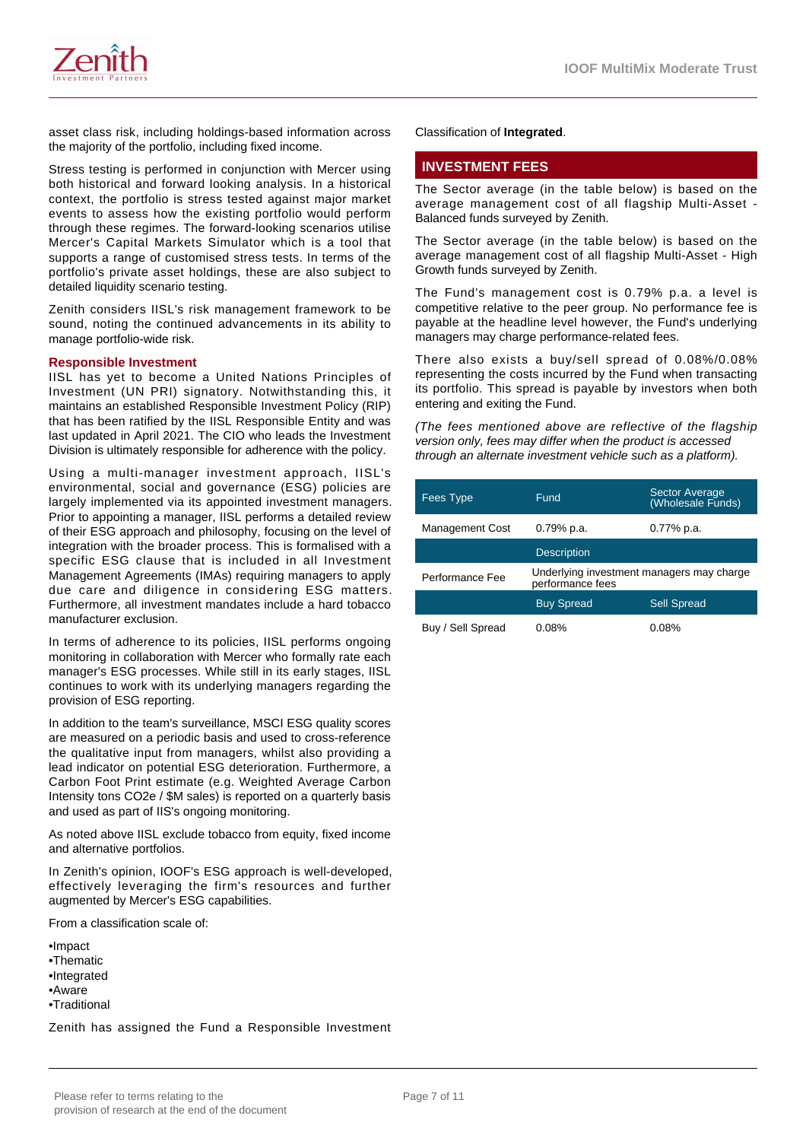

asset class risk, including holdings-based information across the majority of the portfolio, including fixed income.

Stress testing is performed in conjunction with Mercer using both historical and forward looking analysis. In a historical context, the portfolio is stress tested against major market events to assess how the existing portfolio would perform through these regimes. The forward-looking scenarios utilise Mercer's Capital Markets Simulator which is a tool that supports a range of customised stress tests. In terms of the portfolio's private asset holdings, these are also subject to detailed liquidity scenario testing.

Zenith considers IISL's risk management framework to be sound, noting the continued advancements in its ability to manage portfolio-wide risk.

#### **Responsible Investment**

IISL has yet to become a United Nations Principles of Investment (UN PRI) signatory. Notwithstanding this, it maintains an established Responsible Investment Policy (RIP) that has been ratified by the IISL Responsible Entity and was last updated in April 2021. The CIO who leads the Investment Division is ultimately responsible for adherence with the policy.

Using a multi-manager investment approach, IISL's environmental, social and governance (ESG) policies are largely implemented via its appointed investment managers. Prior to appointing a manager, IISL performs a detailed review of their ESG approach and philosophy, focusing on the level of integration with the broader process. This is formalised with a specific ESG clause that is included in all Investment Management Agreements (IMAs) requiring managers to apply due care and diligence in considering ESG matters. Furthermore, all investment mandates include a hard tobacco manufacturer exclusion.

In terms of adherence to its policies, IISL performs ongoing monitoring in collaboration with Mercer who formally rate each manager's ESG processes. While still in its early stages, IISL continues to work with its underlying managers regarding the provision of ESG reporting.

In addition to the team's surveillance, MSCI ESG quality scores are measured on a periodic basis and used to cross-reference the qualitative input from managers, whilst also providing a lead indicator on potential ESG deterioration. Furthermore, a Carbon Foot Print estimate (e.g. Weighted Average Carbon Intensity tons CO2e / \$M sales) is reported on a quarterly basis and used as part of IIS's ongoing monitoring.

As noted above IISL exclude tobacco from equity, fixed income and alternative portfolios.

In Zenith's opinion, IOOF's ESG approach is well-developed, effectively leveraging the firm's resources and further augmented by Mercer's ESG capabilities.

From a classification scale of:

•Impact •Thematic •Integrated •Aware •Traditional

Zenith has assigned the Fund a Responsible Investment

Classification of **Integrated**.

## **INVESTMENT FEES**

The Sector average (in the table below) is based on the average management cost of all flagship Multi-Asset - Balanced funds surveyed by Zenith.

The Sector average (in the table below) is based on the average management cost of all flagship Multi-Asset - High Growth funds surveyed by Zenith.

The Fund's management cost is 0.79% p.a. a level is competitive relative to the peer group. No performance fee is payable at the headline level however, the Fund's underlying managers may charge performance-related fees.

There also exists a buy/sell spread of 0.08%/0.08% representing the costs incurred by the Fund when transacting its portfolio. This spread is payable by investors when both entering and exiting the Fund.

(The fees mentioned above are reflective of the flagship version only, fees may differ when the product is accessed through an alternate investment vehicle such as a platform).

| Fees Type              | Fund               | <b>Sector Average</b><br>(Wholesale Funds) |
|------------------------|--------------------|--------------------------------------------|
| <b>Management Cost</b> | 0.79% p.a.         | $0.77\%$ p.a.                              |
|                        | <b>Description</b> |                                            |
| Performance Fee        | performance fees   | Underlying investment managers may charge  |
|                        | <b>Buy Spread</b>  | <b>Sell Spread</b>                         |
| Buy / Sell Spread      | 0.08%              | $0.08\%$                                   |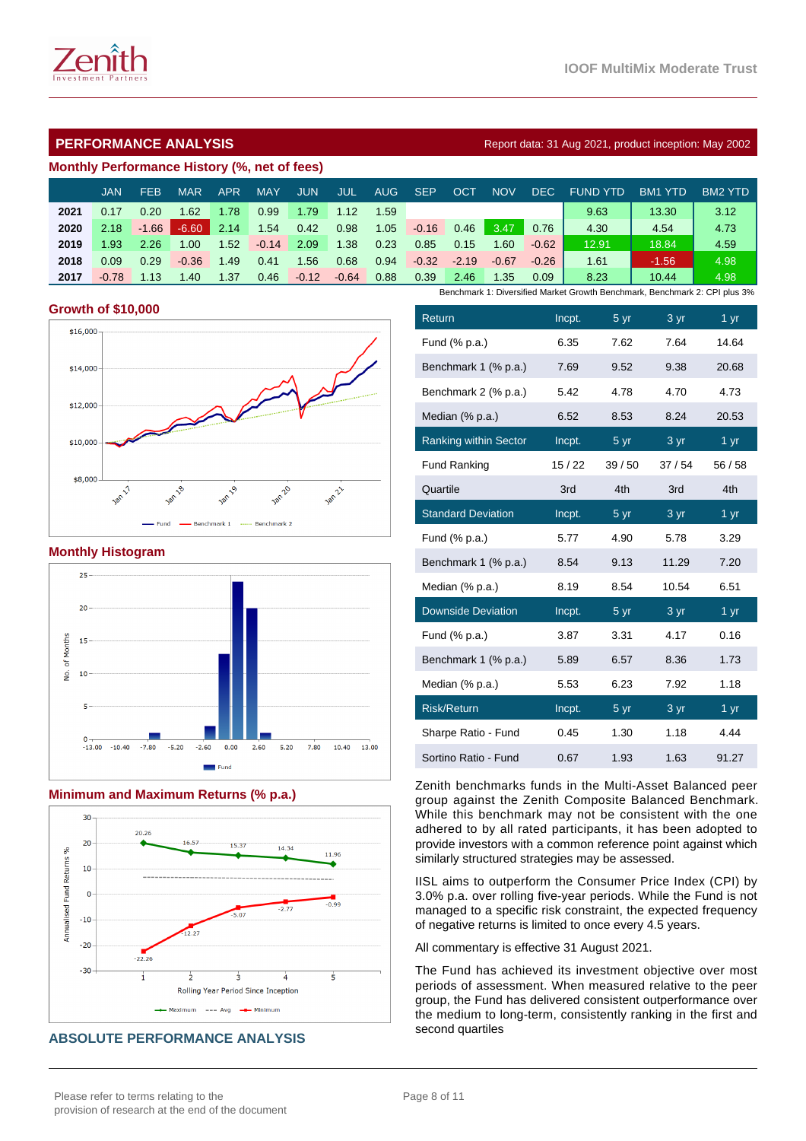## **PERFORMANCE ANALYSIS Report data: 31 Aug 2021, product inception: May 2002**

## **Monthly Performance History (%, net of fees)**

|      | JAN     | FEB     | MAR     | APR  | MAY              | JUN     | <b>JUL</b> | <b>AUG</b> | <b>SEP</b> | OCT     | <b>NOV</b> | <b>DEC</b> | <b>FUND YTD</b>                                                            | <b>BM1 YTD</b> | BM2 YTD |
|------|---------|---------|---------|------|------------------|---------|------------|------------|------------|---------|------------|------------|----------------------------------------------------------------------------|----------------|---------|
| 2021 | 0.17    | 0.20    | 1.62    | 1.78 | 0.99             | 1.79    | 1.12       | 1.59       |            |         |            |            | 9.63                                                                       | 13.30          | 3.12    |
| 2020 | 2.18    | $-1.66$ | $-6.60$ | 2.14 | .54 <sub>1</sub> | 0.42    | 0.98       | 1.05       | $-0.16$    | 0.46    | 3.47       | 0.76       | 4.30                                                                       | 4.54           | 4.73    |
| 2019 | 1.93    | 2.26    | 1.00    | 1.52 | $-0.14$          | 2.09    | 1.38       | 0.23       | 0.85       | 0.15    | .60        | $-0.62$    | 12.91                                                                      | 18.84          | 4.59    |
| 2018 | 0.09    | 0.29    | $-0.36$ | 1.49 | 0.41             | .56     | 0.68       | 0.94       | $-0.32$    | $-2.19$ | $-0.67$    | $-0.26$    | 1.61                                                                       | $-1.56$        | 4.98    |
| 2017 | $-0.78$ | 1.13    | .40     | 1.37 | 0.46             | $-0.12$ | $-0.64$    | 0.88       | 0.39       | 2.46    | 1.35       | 0.09       | 8.23                                                                       | 10.44          | 4.98    |
|      |         |         |         |      |                  |         |            |            |            |         |            |            | Benchmark 1: Diversified Market Growth Benchmark, Benchmark 2: CPI plus 3% |                |         |

#### **Growth of \$10,000**



#### **Monthly Histogram**



#### **Minimum and Maximum Returns (% p.a.)**



#### **ABSOLUTE PERFORMANCE ANALYSIS**

| Return                       | Incpt. | 5 yr  | $\frac{3}{ }$ yr  | 1 yr    |
|------------------------------|--------|-------|-------------------|---------|
| Fund (% p.a.)                | 6.35   | 7.62  | 7.64              | 14.64   |
| Benchmark 1 (% p.a.)         | 7.69   | 9.52  | 9.38              | 20.68   |
| Benchmark 2 (% p.a.)         | 5.42   | 4.78  | 4.70              | 4.73    |
| Median (% p.a.)              | 6.52   | 8.53  | 8.24              | 20.53   |
| <b>Ranking within Sector</b> | Incpt. | 5 yr  | 3 yr              | 1 yr    |
| <b>Fund Ranking</b>          | 15/22  | 39/50 | 37/54             | 56 / 58 |
| Quartile                     | 3rd    | 4th   | 3rd               | 4th     |
| <b>Standard Deviation</b>    | Incpt. | 5 yr  | 3 yr              | 1 yr    |
| Fund (% p.a.)                | 5.77   | 4.90  | 5.78              | 3.29    |
| Benchmark 1 (% p.a.)         | 8.54   | 9.13  | 11.29             | 7.20    |
| Median (% p.a.)              | 8.19   | 8.54  | 10.54             | 6.51    |
| <b>Downside Deviation</b>    | Incpt. | 5 yr  | $3 \,\mathrm{yr}$ | 1 yr    |
| Fund (% p.a.)                | 3.87   | 3.31  | 4.17              | 0.16    |
| Benchmark 1 (% p.a.)         | 5.89   | 6.57  | 8.36              | 1.73    |
| Median (% p.a.)              | 5.53   | 6.23  | 7.92              | 1.18    |
| <b>Risk/Return</b>           | Incpt. | 5yr   | $3 \, yr$         | 1 yr    |
| Sharpe Ratio - Fund          | 0.45   | 1.30  | 1.18              | 4.44    |
| Sortino Ratio - Fund         | 0.67   | 1.93  | 1.63              | 91.27   |

Zenith benchmarks funds in the Multi-Asset Balanced peer group against the Zenith Composite Balanced Benchmark. While this benchmark may not be consistent with the one adhered to by all rated participants, it has been adopted to provide investors with a common reference point against which similarly structured strategies may be assessed.

IISL aims to outperform the Consumer Price Index (CPI) by 3.0% p.a. over rolling five-year periods. While the Fund is not managed to a specific risk constraint, the expected frequency of negative returns is limited to once every 4.5 years.

All commentary is effective 31 August 2021.

The Fund has achieved its investment objective over most periods of assessment. When measured relative to the peer group, the Fund has delivered consistent outperformance over the medium to long-term, consistently ranking in the first and second quartiles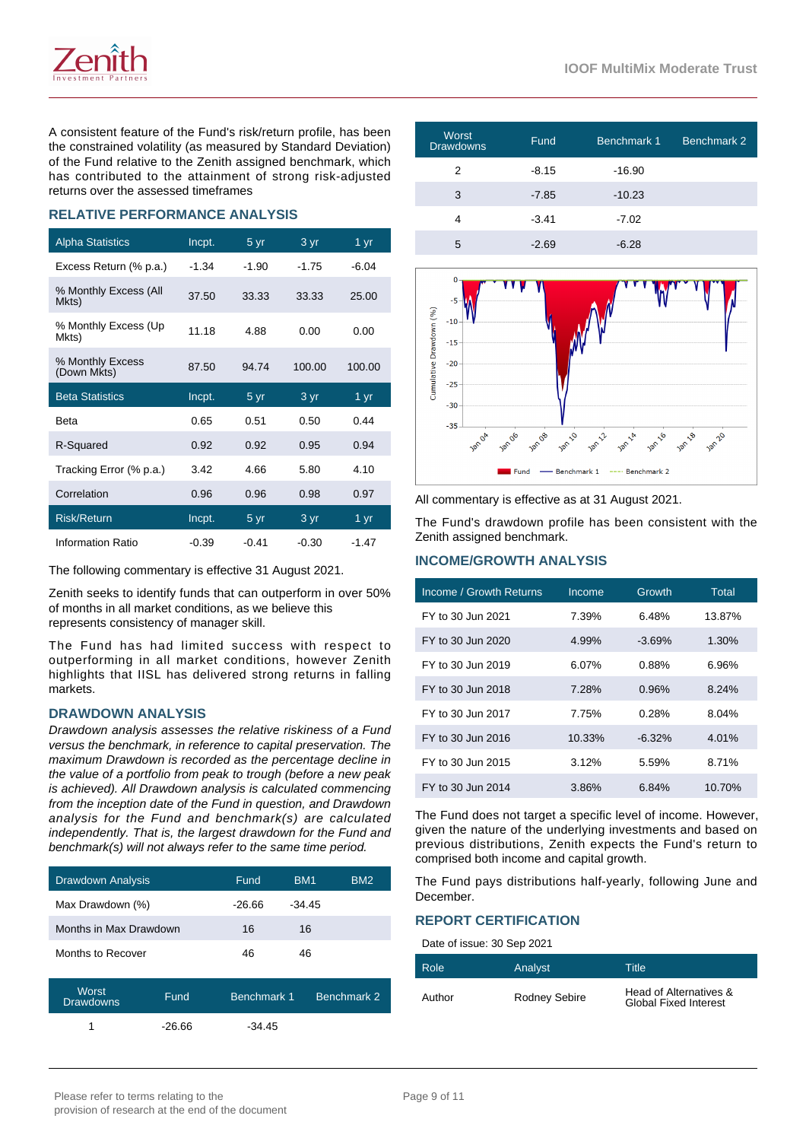

A consistent feature of the Fund's risk/return profile, has been the constrained volatility (as measured by Standard Deviation) of the Fund relative to the Zenith assigned benchmark, which has contributed to the attainment of strong risk-adjusted returns over the assessed timeframes

## **RELATIVE PERFORMANCE ANALYSIS**

| <b>Alpha Statistics</b>         | Incpt.  | 5 <sub>yr</sub> | 3 yr    | 1 yr              |
|---------------------------------|---------|-----------------|---------|-------------------|
| Excess Return (% p.a.)          | $-1.34$ | $-1.90$         | $-1.75$ | $-6.04$           |
| % Monthly Excess (All<br>Mkts)  | 37.50   | 33.33           | 33.33   | 25.00             |
| % Monthly Excess (Up<br>Mkts)   | 11.18   | 4.88            | 0.00    | 0.00              |
| % Monthly Excess<br>(Down Mkts) | 87.50   | 94.74           | 100.00  | 100.00            |
|                                 |         |                 |         |                   |
| <b>Beta Statistics</b>          | Incpt.  | 5 yr            | 3 yr    | $1 \,\mathrm{yr}$ |
| Beta                            | 0.65    | 0.51            | 0.50    | 0.44              |
| R-Squared                       | 0.92    | 0.92            | 0.95    | 0.94              |
| Tracking Error (% p.a.)         | 3.42    | 4.66            | 5.80    | 4.10              |
| Correlation                     | 0.96    | 0.96            | 0.98    | 0.97              |
| <b>Risk/Return</b>              | Incpt.  | 5 yr            | 3 yr    | 1 yr              |

The following commentary is effective 31 August 2021.

Zenith seeks to identify funds that can outperform in over 50% of months in all market conditions, as we believe this represents consistency of manager skill.

The Fund has had limited success with respect to outperforming in all market conditions, however Zenith highlights that IISL has delivered strong returns in falling markets.

#### **DRAWDOWN ANALYSIS**

Drawdown analysis assesses the relative riskiness of a Fund versus the benchmark, in reference to capital preservation. The maximum Drawdown is recorded as the percentage decline in the value of a portfolio from peak to trough (before a new peak is achieved). All Drawdown analysis is calculated commencing from the inception date of the Fund in question, and Drawdown analysis for the Fund and benchmark(s) are calculated independently. That is, the largest drawdown for the Fund and benchmark(s) will not always refer to the same time period.

| <b>Drawdown Analysis</b> | Fund     | BM <sub>1</sub> | BM <sub>2</sub> |
|--------------------------|----------|-----------------|-----------------|
| Max Drawdown (%)         | $-26.66$ | $-34.45$        |                 |
| Months in Max Drawdown   | 16       | 16              |                 |
| Months to Recover        | 46       | 46              |                 |
| <i>Moret</i>             |          |                 |                 |

| Worst<br><b>Drawdowns</b> | Fund     | Benchmark 1 | Benchmark 2 |
|---------------------------|----------|-------------|-------------|
|                           | $-26.66$ | $-34.45$    |             |

| Worst<br><b>Drawdowns</b> | Fund    | Benchmark 1 | Benchmark 2 |
|---------------------------|---------|-------------|-------------|
| 2                         | $-8.15$ | $-16.90$    |             |
| 3                         | $-7.85$ | $-10.23$    |             |
| 4                         | $-3.41$ | $-7.02$     |             |
| 5                         | $-2.69$ | $-6.28$     |             |



All commentary is effective as at 31 August 2021.

The Fund's drawdown profile has been consistent with the Zenith assigned benchmark.

## **INCOME/GROWTH ANALYSIS**

| Income / Growth Returns | Income   | Growth    | Total  |
|-------------------------|----------|-----------|--------|
| FY to 30 Jun 2021       | 7.39%    | 6.48%     | 13.87% |
| FY to 30 Jun 2020       | 4.99%    | $-3.69\%$ | 1.30%  |
| FY to 30 Jun 2019       | $6.07\%$ | $0.88\%$  | 6.96%  |
| FY to 30 Jun 2018       | 7.28%    | $0.96\%$  | 8.24%  |
| FY to 30 Jun 2017       | 7.75%    | 0.28%     | 8.04%  |
| FY to 30 Jun 2016       | 10.33%   | $-6.32%$  | 4.01%  |
| FY to 30 Jun 2015       | 3.12%    | 5.59%     | 8.71%  |
| FY to 30 Jun 2014       | 3.86%    | 6.84%     | 10.70% |

The Fund does not target a specific level of income. However, given the nature of the underlying investments and based on previous distributions, Zenith expects the Fund's return to comprised both income and capital growth.

The Fund pays distributions half-yearly, following June and December.

#### **REPORT CERTIFICATION**

Date of issue: 30 Sep 2021

| Role   | Analyst       | Title                                                  |
|--------|---------------|--------------------------------------------------------|
| Author | Rodney Sebire | Head of Alternatives &<br><b>Global Fixed Interest</b> |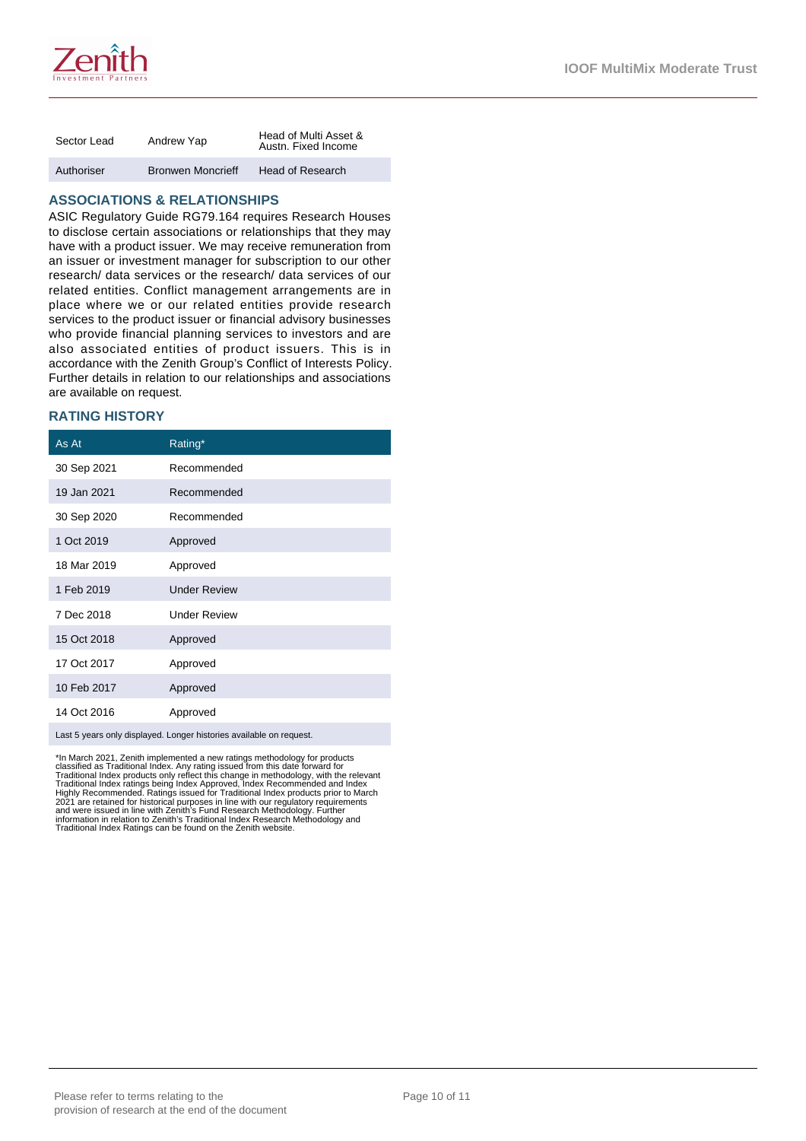

| Sector Lead | Andrew Yap               | Head of Multi Asset &<br>Austn. Fixed Income |
|-------------|--------------------------|----------------------------------------------|
| Authoriser  | <b>Bronwen Moncrieff</b> | Head of Research                             |

## **ASSOCIATIONS & RELATIONSHIPS**

ASIC Regulatory Guide RG79.164 requires Research Houses to disclose certain associations or relationships that they may have with a product issuer. We may receive remuneration from an issuer or investment manager for subscription to our other research/ data services or the research/ data services of our related entities. Conflict management arrangements are in place where we or our related entities provide research services to the product issuer or financial advisory businesses who provide financial planning services to investors and are also associated entities of product issuers. This is in accordance with the Zenith Group's Conflict of Interests Policy. Further details in relation to our relationships and associations are available on request.

## **RATING HISTORY**

| Rating*             |
|---------------------|
| Recommended         |
| Recommended         |
| Recommended         |
| Approved            |
| Approved            |
| <b>Under Review</b> |
| <b>Under Review</b> |
| Approved            |
| Approved            |
| Approved            |
| Approved            |
|                     |

Last 5 years only displayed. Longer histories available on request.

\*In March 2021, Zenith implemented a new ratings methodology for products<br>classified as Traditional Index. Any rating issued from this date forward for<br>Traditional Index ratings being Index Approved, Index Recommended and Traditional Index Ratings can be found on the Zenith website.